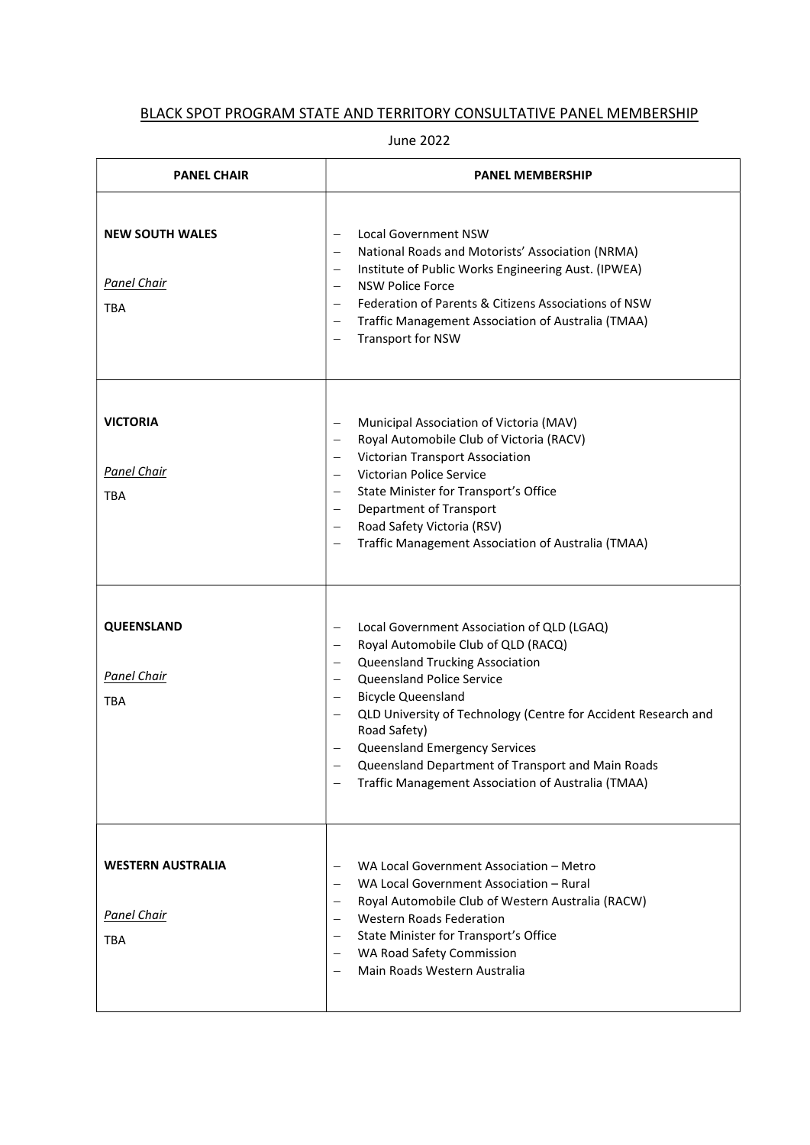## BLACK SPOT PROGRAM STATE AND TERRITORY CONSULTATIVE PANEL MEMBERSHIP

June 2022

| <b>PANEL CHAIR</b>                                           | <b>PANEL MEMBERSHIP</b>                                                                                                                                                                                                                                                                                                                                                                                                                                                                                                                                  |
|--------------------------------------------------------------|----------------------------------------------------------------------------------------------------------------------------------------------------------------------------------------------------------------------------------------------------------------------------------------------------------------------------------------------------------------------------------------------------------------------------------------------------------------------------------------------------------------------------------------------------------|
| <b>NEW SOUTH WALES</b><br><b>Panel Chair</b><br><b>TBA</b>   | <b>Local Government NSW</b><br>$\qquad \qquad -$<br>National Roads and Motorists' Association (NRMA)<br>$\overline{\phantom{m}}$<br>Institute of Public Works Engineering Aust. (IPWEA)<br>$\overline{\phantom{m}}$<br><b>NSW Police Force</b><br>$\qquad \qquad -$<br>Federation of Parents & Citizens Associations of NSW<br>$\overline{\phantom{m}}$<br>Traffic Management Association of Australia (TMAA)<br>$\overline{\phantom{m}}$<br>Transport for NSW<br>-                                                                                      |
| <b>VICTORIA</b><br>Panel Chair<br><b>TBA</b>                 | Municipal Association of Victoria (MAV)<br>$\qquad \qquad -$<br>Royal Automobile Club of Victoria (RACV)<br>$\overline{\phantom{m}}$<br>Victorian Transport Association<br>-<br>Victorian Police Service<br>$\overline{\phantom{m}}$<br>State Minister for Transport's Office<br>Department of Transport<br>Road Safety Victoria (RSV)<br>$\overline{\phantom{m}}$<br>Traffic Management Association of Australia (TMAA)<br>$\overline{\phantom{0}}$                                                                                                     |
| QUEENSLAND<br><b>Panel Chair</b><br>TBA                      | Local Government Association of QLD (LGAQ)<br>$\overline{\phantom{m}}$<br>Royal Automobile Club of QLD (RACQ)<br>$\overline{\phantom{m}}$<br>Queensland Trucking Association<br>$\overline{\phantom{m}}$<br>Queensland Police Service<br>$\overline{\phantom{m}}$<br><b>Bicycle Queensland</b><br>$\overline{\phantom{m}}$<br>QLD University of Technology (Centre for Accident Research and<br>Road Safety)<br>Queensland Emergency Services<br>Queensland Department of Transport and Main Roads<br>Traffic Management Association of Australia (TMAA) |
| <b>WESTERN AUSTRALIA</b><br><b>Panel Chair</b><br><b>TBA</b> | WA Local Government Association - Metro<br>$\qquad \qquad -$<br>WA Local Government Association - Rural<br>Royal Automobile Club of Western Australia (RACW)<br>$\qquad \qquad -$<br><b>Western Roads Federation</b><br>State Minister for Transport's Office<br>$\overline{\phantom{m}}$<br>WA Road Safety Commission<br>$\overline{\phantom{m}}$<br>Main Roads Western Australia<br>$\overline{\phantom{m}}$                                                                                                                                           |